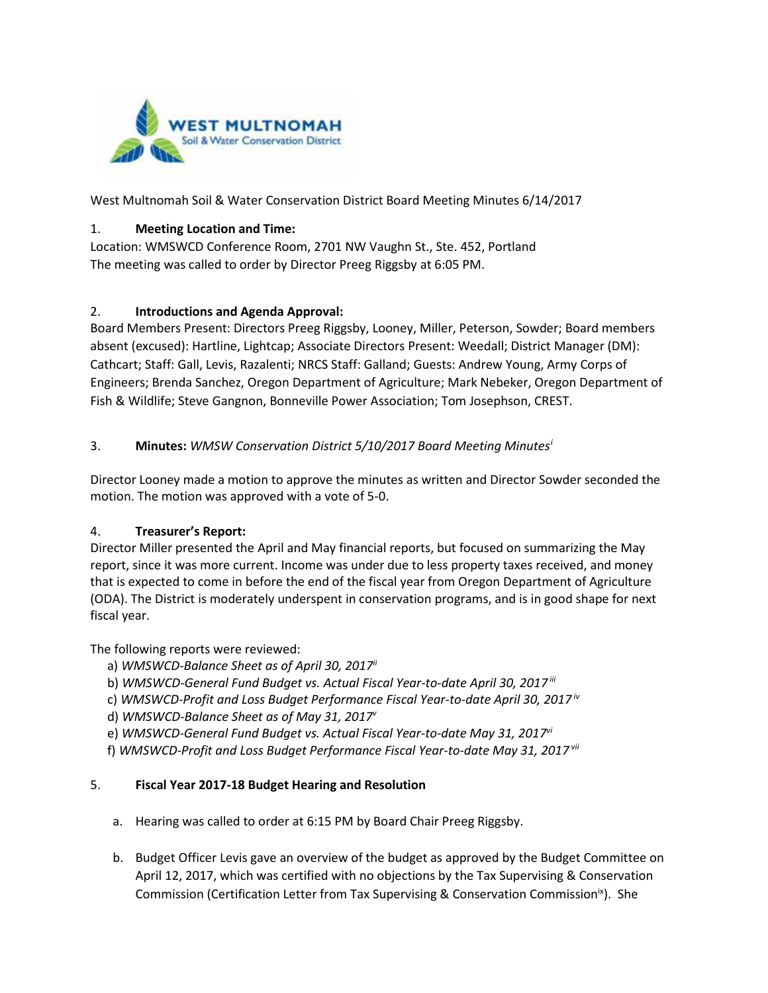

West Multnomah Soil & Water Conservation District Board Meeting Minutes 6/14/2017

### 1. **Meeting Location and Time:**

Location: WMSWCD Conference Room, 2701 NW Vaughn St., Ste. 452, Portland The meeting was called to order by Director Preeg Riggsby at 6:05 PM.

### 2. **Introductions and Agenda Approval:**

Board Members Present: Directors Preeg Riggsby, Looney, Miller, Peterson, Sowder; Board members absent (excused): Hartline, Lightcap; Associate Directors Present: Weedall; District Manager (DM): Cathcart; Staff: Gall, Levis, Razalenti; NRCS Staff: Galland; Guests: Andrew Young, Army Corps of Engineers; Brenda Sanchez, Oregon Department of Agriculture; Mark Nebeker, Oregon Department of Fish & Wildlife; Steve Gangnon, Bonneville Power Association; Tom Josephson, CREST.

## 3. **Minutes:** *WMSW Conservation District 5/10/2017 Board Meeting Minutes[i](#page-4-0)*

Director Looney made a motion to approve the minutes as written and Director Sowder seconded the motion. The motion was approved with a vote of 5-0.

## 4. **Treasurer's Report:**

Director Miller presented the April and May financial reports, but focused on summarizing the May report, since it was more current. Income was under due to less property taxes received, and money that is expected to come in before the end of the fiscal year from Oregon Department of Agriculture (ODA). The District is moderately underspent in conservation programs, and is in good shape for next fiscal year.

The following reports were reviewed:

- a) *WMSWCD-Balance Sheet as of April 30, 2017ii*
- b) *WMSWCD-General Fund Budget vs. Actual Fiscal Year-to-date April 30, 2017 iii*
- c) *WMSWCD-Profit and Loss Budget Performance Fiscal Year-to-date April 30, 2017 iv*
- d) *WMSWCD-Balance Sheet as of May 31, 2017v*
- e) *WMSWCD-General Fund Budget vs. Actual Fiscal Year-to-date May 31, 2017vi*
- f) *WMSWCD-Profit and Loss Budget Performance Fiscal Year-to-date May 31, 2017 vii*

#### 5. **Fiscal Year 2017-18 Budget Hearing and Resolution**

- a. Hearing was called to order at 6:15 PM by Board Chair Preeg Riggsby.
- b. Budget Officer Levis gave an overview of the budget as approved by the Budget Committee on April 12, 2017, which was certified with no objections by the Tax Supervising & Conservation Commission (Certification Letter from Tax Supervising & Conservation Commission<sup>ix</sup>). She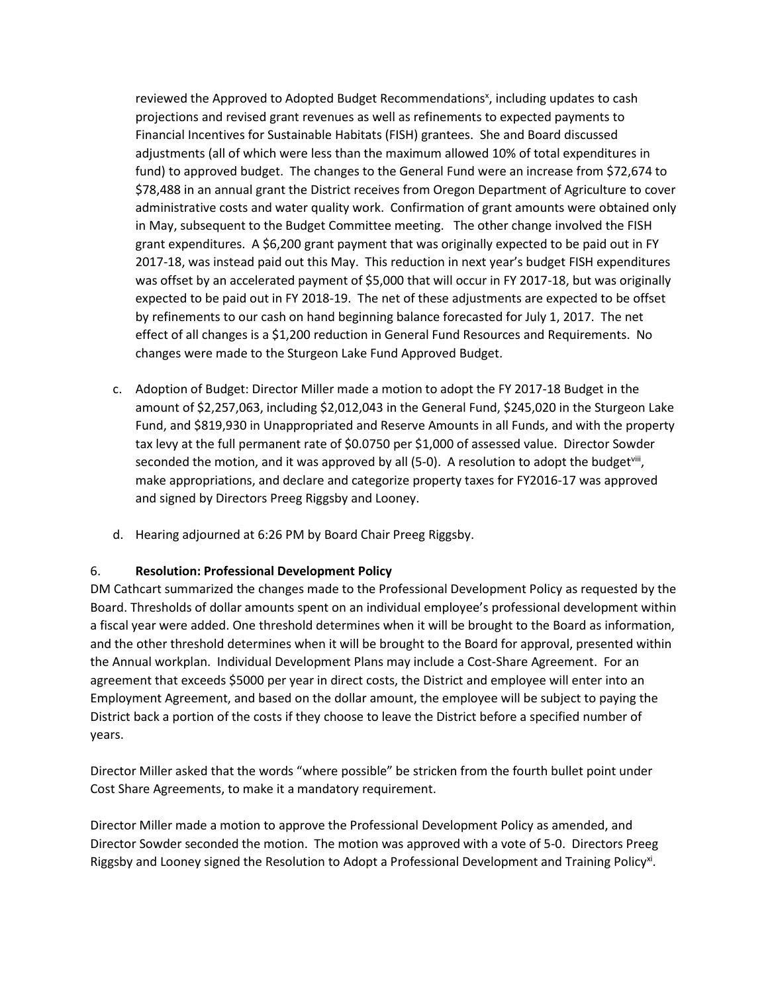reviewed the Approved to Adopted Budget Recommendations<sup>x</sup>, including updates to cash projections and revised grant revenues as well as refinements to expected payments to Financial Incentives for Sustainable Habitats (FISH) grantees. She and Board discussed adjustments (all of which were less than the maximum allowed 10% of total expenditures in fund) to approved budget. The changes to the General Fund were an increase from \$72,674 to \$78,488 in an annual grant the District receives from Oregon Department of Agriculture to cover administrative costs and water quality work. Confirmation of grant amounts were obtained only in May, subsequent to the Budget Committee meeting. The other change involved the FISH grant expenditures. A \$6,200 grant payment that was originally expected to be paid out in FY 2017-18, was instead paid out this May. This reduction in next year's budget FISH expenditures was offset by an accelerated payment of \$5,000 that will occur in FY 2017-18, but was originally expected to be paid out in FY 2018-19. The net of these adjustments are expected to be offset by refinements to our cash on hand beginning balance forecasted for July 1, 2017. The net effect of all changes is a \$1,200 reduction in General Fund Resources and Requirements. No changes were made to the Sturgeon Lake Fund Approved Budget.

- c. Adoption of Budget: Director Miller made a motion to adopt the FY 2017-18 Budget in the amount of \$2,257,063, including \$2,012,043 in the General Fund, \$245,020 in the Sturgeon Lake Fund, and \$819,930 in Unappropriated and Reserve Amounts in all Funds, and with the property tax levy at the full permanent rate of \$0.0750 per \$1,000 of assessed value. Director Sowder seconded the motion, and it was approved by all  $(5-0)$ . A resolution to adopt the budget<sup>viii</sup>, make appropriations, and declare and categorize property taxes for FY2016-17 was approved and signed by Directors Preeg Riggsby and Looney.
- d. Hearing adjourned at 6:26 PM by Board Chair Preeg Riggsby.

#### 6. **Resolution: Professional Development Policy**

DM Cathcart summarized the changes made to the Professional Development Policy as requested by the Board. Thresholds of dollar amounts spent on an individual employee's professional development within a fiscal year were added. One threshold determines when it will be brought to the Board as information, and the other threshold determines when it will be brought to the Board for approval, presented within the Annual workplan. Individual Development Plans may include a Cost-Share Agreement. For an agreement that exceeds \$5000 per year in direct costs, the District and employee will enter into an Employment Agreement, and based on the dollar amount, the employee will be subject to paying the District back a portion of the costs if they choose to leave the District before a specified number of years.

Director Miller asked that the words "where possible" be stricken from the fourth bullet point under Cost Share Agreements, to make it a mandatory requirement.

Director Miller made a motion to approve the Professional Development Policy as amended, and Director Sowder seconded the motion. The motion was approved with a vote of 5-0. Directors Preeg Riggsby and Looney signed the Resolution to Adopt a Professional Development and Training Policy<sup>xi</sup>.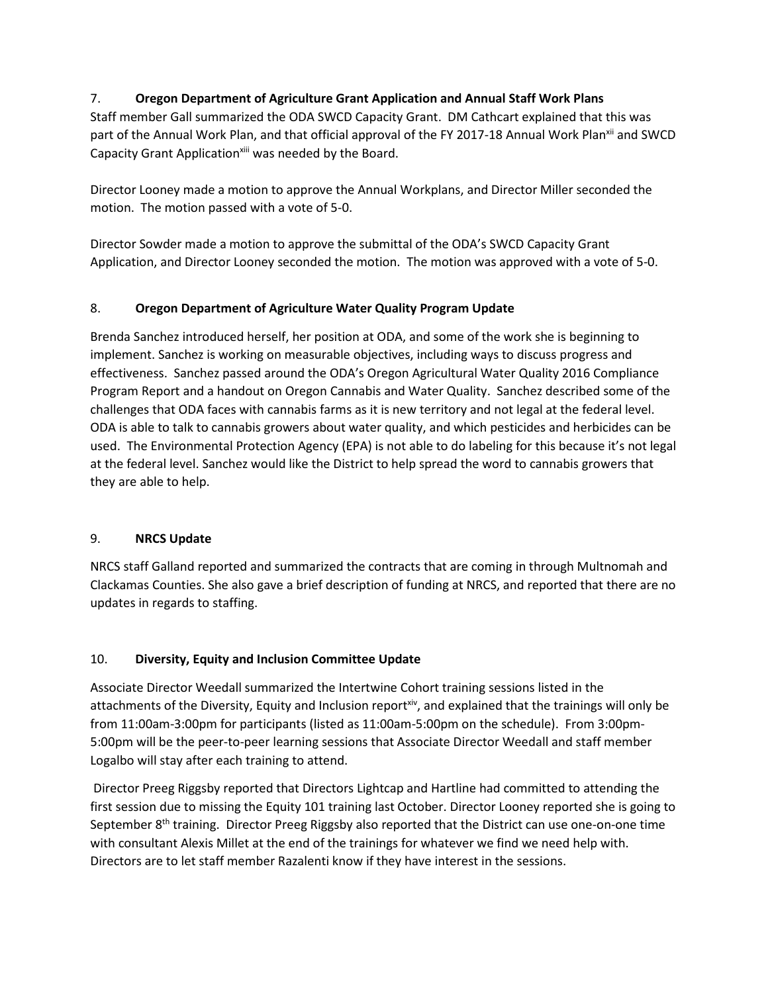## 7. **Oregon Department of Agriculture Grant Application and Annual Staff Work Plans**

Staff member Gall summarized the ODA SWCD Capacity Grant. DM Cathcart explained that this was part of the Annual Work Plan, and that official approval of the FY 2017-18 Annual Work Plan<sup>xii</sup> and SWCD Capacity Grant Application<sup>xiii</sup> was needed by the Board.

Director Looney made a motion to approve the Annual Workplans, and Director Miller seconded the motion. The motion passed with a vote of 5-0.

Director Sowder made a motion to approve the submittal of the ODA's SWCD Capacity Grant Application, and Director Looney seconded the motion. The motion was approved with a vote of 5-0.

# 8. **Oregon Department of Agriculture Water Quality Program Update**

Brenda Sanchez introduced herself, her position at ODA, and some of the work she is beginning to implement. Sanchez is working on measurable objectives, including ways to discuss progress and effectiveness. Sanchez passed around the ODA's Oregon Agricultural Water Quality 2016 Compliance Program Report and a handout on Oregon Cannabis and Water Quality. Sanchez described some of the challenges that ODA faces with cannabis farms as it is new territory and not legal at the federal level. ODA is able to talk to cannabis growers about water quality, and which pesticides and herbicides can be used. The Environmental Protection Agency (EPA) is not able to do labeling for this because it's not legal at the federal level. Sanchez would like the District to help spread the word to cannabis growers that they are able to help.

## 9. **NRCS Update**

NRCS staff Galland reported and summarized the contracts that are coming in through Multnomah and Clackamas Counties. She also gave a brief description of funding at NRCS, and reported that there are no updates in regards to staffing.

# 10. **Diversity, Equity and Inclusion Committee Update**

Associate Director Weedall summarized the Intertwine Cohort training sessions listed in the attachments of the Diversity, Equity and Inclusion report<sup>xiv</sup>, and explained that the trainings will only be from 11:00am-3:00pm for participants (listed as 11:00am-5:00pm on the schedule). From 3:00pm-5:00pm will be the peer-to-peer learning sessions that Associate Director Weedall and staff member Logalbo will stay after each training to attend.

Director Preeg Riggsby reported that Directors Lightcap and Hartline had committed to attending the first session due to missing the Equity 101 training last October. Director Looney reported she is going to September  $8<sup>th</sup>$  training. Director Preeg Riggsby also reported that the District can use one-on-one time with consultant Alexis Millet at the end of the trainings for whatever we find we need help with. Directors are to let staff member Razalenti know if they have interest in the sessions.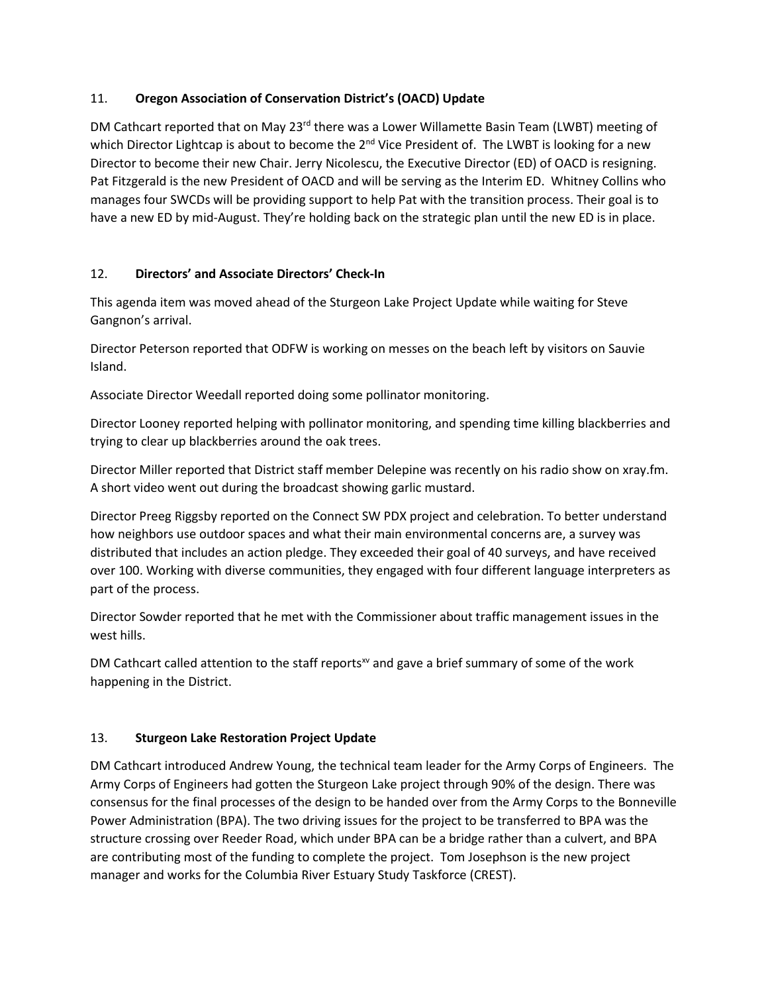## 11. **Oregon Association of Conservation District's (OACD) Update**

DM Cathcart reported that on May 23<sup>rd</sup> there was a Lower Willamette Basin Team (LWBT) meeting of which Director Lightcap is about to become the 2<sup>nd</sup> Vice President of. The LWBT is looking for a new Director to become their new Chair. Jerry Nicolescu, the Executive Director (ED) of OACD is resigning. Pat Fitzgerald is the new President of OACD and will be serving as the Interim ED. Whitney Collins who manages four SWCDs will be providing support to help Pat with the transition process. Their goal is to have a new ED by mid-August. They're holding back on the strategic plan until the new ED is in place.

# 12. **Directors' and Associate Directors' Check-In**

This agenda item was moved ahead of the Sturgeon Lake Project Update while waiting for Steve Gangnon's arrival.

Director Peterson reported that ODFW is working on messes on the beach left by visitors on Sauvie Island.

Associate Director Weedall reported doing some pollinator monitoring.

Director Looney reported helping with pollinator monitoring, and spending time killing blackberries and trying to clear up blackberries around the oak trees.

Director Miller reported that District staff member Delepine was recently on his radio show on xray.fm. A short video went out during the broadcast showing garlic mustard.

Director Preeg Riggsby reported on the Connect SW PDX project and celebration. To better understand how neighbors use outdoor spaces and what their main environmental concerns are, a survey was distributed that includes an action pledge. They exceeded their goal of 40 surveys, and have received over 100. Working with diverse communities, they engaged with four different language interpreters as part of the process.

Director Sowder reported that he met with the Commissioner about traffic management issues in the west hills.

DM Cathcart called attention to the staff reports<sup>xv</sup> and gave a brief summary of some of the work happening in the District.

# 13. **Sturgeon Lake Restoration Project Update**

DM Cathcart introduced Andrew Young, the technical team leader for the Army Corps of Engineers. The Army Corps of Engineers had gotten the Sturgeon Lake project through 90% of the design. There was consensus for the final processes of the design to be handed over from the Army Corps to the Bonneville Power Administration (BPA). The two driving issues for the project to be transferred to BPA was the structure crossing over Reeder Road, which under BPA can be a bridge rather than a culvert, and BPA are contributing most of the funding to complete the project. Tom Josephson is the new project manager and works for the Columbia River Estuary Study Taskforce (CREST).